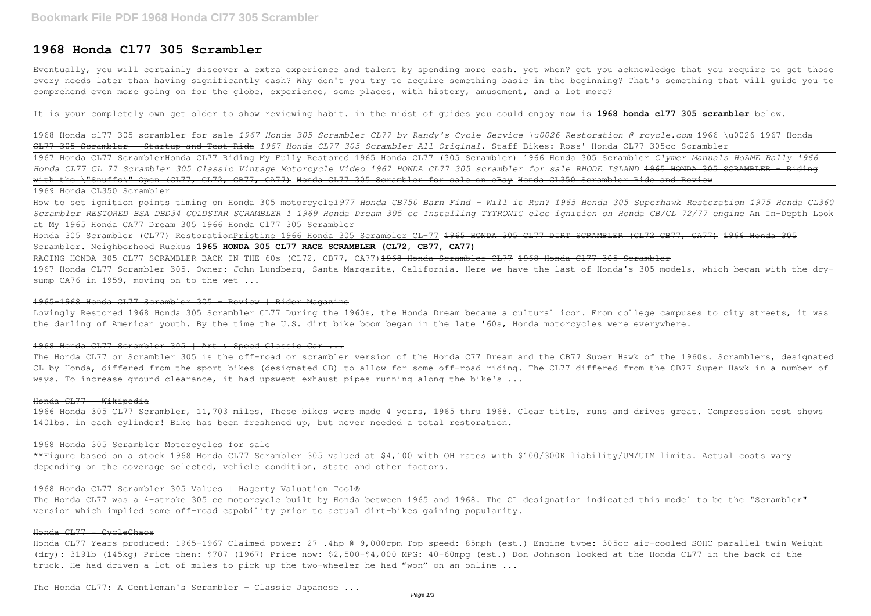# **1968 Honda Cl77 305 Scrambler**

Eventually, you will certainly discover a extra experience and talent by spending more cash. yet when? get you acknowledge that you require to get those every needs later than having significantly cash? Why don't you try to acquire something basic in the beginning? That's something that will guide you to comprehend even more going on for the globe, experience, some places, with history, amusement, and a lot more?

It is your completely own get older to show reviewing habit. in the midst of guides you could enjoy now is **1968 honda cl77 305 scrambler** below.

Honda 305 Scrambler (CL77) RestorationPristine 1966 Honda 305 Scrambler CL-77 1965 HONDA 305 CL77 DIRT SCRAMBLER (CL72 CB77, CA77) 1966 Honda 305 Scrambler. Neighborhood Ruckus **1965 HONDA 305 CL77 RACE SCRAMBLER (CL72, CB77, CA77)**

RACING HONDA 305 CL77 SCRAMBLER BACK IN THE 60s (CL72, CB77, CA77)<del>1968 Honda Scrambler CL77 1968 Honda Cl77 305 Scrambler</del> 1967 Honda CL77 Scrambler 305. Owner: John Lundberg, Santa Margarita, California. Here we have the last of Honda's 305 models, which began with the drysump CA76 in 1959, moving on to the wet ...

1968 Honda cl77 305 scrambler for sale *1967 Honda 305 Scrambler CL77 by Randy's Cycle Service \u0026 Restoration @ rcycle.com* 1966 \u0026 1967 Honda CL77 305 Scrambler - Startup and Test Ride *1967 Honda CL77 305 Scrambler All Original.* Staff Bikes: Ross' Honda CL77 305cc Scrambler 1967 Honda CL77 ScramblerHonda CL77 Riding My Fully Restored 1965 Honda CL77 (305 Scrambler) 1966 Honda 305 Scrambler *Clymer Manuals HoAME Rally 1966 Honda CL77 CL 77 Scrambler 305 Classic Vintage Motorcycle Video 1967 HONDA CL77 305 scrambler for sale RHODE ISLAND* 1965 HONDA 305 SCRAMBLER - Riding with the \"Snuffs\" Open (CL77, CL72, CB77, CA77) Honda CL77 305 Scrambler for sale on eBay Honda CL350 Scrambler Ride and Review 1969 Honda CL350 Scrambler

The Honda CL77 or Scrambler 305 is the off-road or scrambler version of the Honda C77 Dream and the CB77 Super Hawk of the 1960s. Scramblers, designated CL by Honda, differed from the sport bikes (designated CB) to allow for some off-road riding. The CL77 differed from the CB77 Super Hawk in a number of ways. To increase ground clearance, it had upswept exhaust pipes running along the bike's ...

#### Honda CL77 Wikipedia

How to set ignition points timing on Honda 305 motorcycle*1977 Honda CB750 Barn Find - Will it Run? 1965 Honda 305 Superhawk Restoration 1975 Honda CL360 Scrambler RESTORED BSA DBD34 GOLDSTAR SCRAMBLER 1 1969 Honda Dream 305 cc Installing TYTRONIC elec ignition on Honda CB/CL 72/77 engine* An In-Depth Look at My 1965 Honda CA77 Dream 305 1966 Honda Cl77 305 Scrambler

The Honda CL77 was a 4-stroke 305 cc motorcycle built by Honda between 1965 and 1968. The CL designation indicated this model to be the "Scrambler" version which implied some off-road capability prior to actual dirt-bikes gaining popularity.

Honda CL77 Years produced: 1965-1967 Claimed power: 27 .4hp @ 9,000rpm Top speed: 85mph (est.) Engine type: 305cc air-cooled SOHC parallel twin Weight (dry): 319lb (145kg) Price then: \$707 (1967) Price now: \$2,500-\$4,000 MPG: 40-60mpg (est.) Don Johnson looked at the Honda CL77 in the back of the truck. He had driven a lot of miles to pick up the two-wheeler he had "won" on an online ...

#### 1965-1968 Honda CL77 Scrambler 305 - Review | Rider Magazine

Lovingly Restored 1968 Honda 305 Scrambler CL77 During the 1960s, the Honda Dream became a cultural icon. From college campuses to city streets, it was the darling of American youth. By the time the U.S. dirt bike boom began in the late '60s, Honda motorcycles were everywhere.

## 1968 Honda CL77 Scrambler 305 | Art & Speed Classic Car ...

1966 Honda 305 CL77 Scrambler, 11,703 miles, These bikes were made 4 years, 1965 thru 1968. Clear title, runs and drives great. Compression test shows 140lbs. in each cylinder! Bike has been freshened up, but never needed a total restoration.

### 1968 Honda 305 Scrambler Motorcycles for sale

\*\*Figure based on a stock 1968 Honda CL77 Scrambler 305 valued at \$4,100 with OH rates with \$100/300K liability/UM/UIM limits. Actual costs vary depending on the coverage selected, vehicle condition, state and other factors.

#### 1968 Honda CL77 Scrambler 305 Values | Hagerty Valuation Tool®

### Honda CL77 - CycleChaos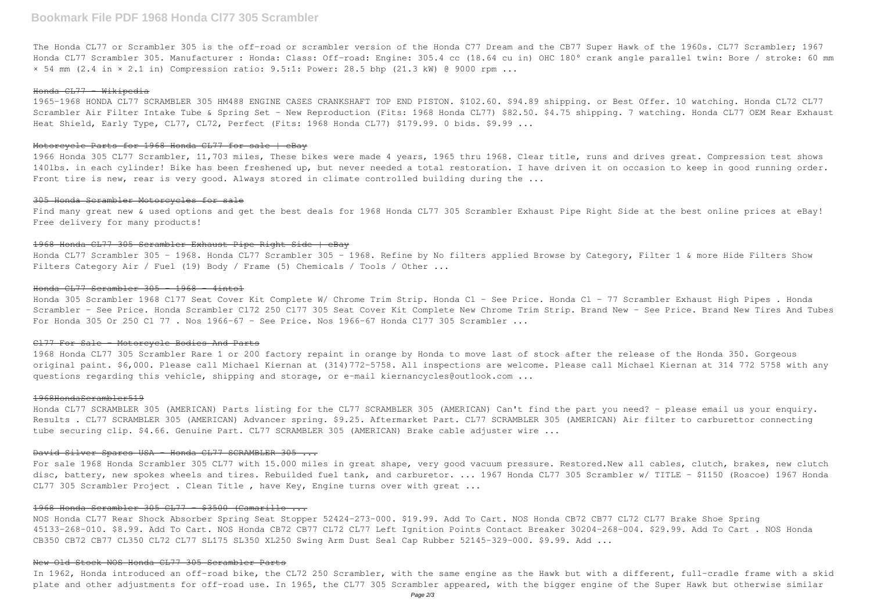# **Bookmark File PDF 1968 Honda Cl77 305 Scrambler**

1965-1968 HONDA CL77 SCRAMBLER 305 HM488 ENGINE CASES CRANKSHAFT TOP END PISTON. \$102.60. \$94.89 shipping. or Best Offer. 10 watching. Honda CL72 CL77 Scrambler Air Filter Intake Tube & Spring Set - New Reproduction (Fits: 1968 Honda CL77) \$82.50. \$4.75 shipping. 7 watching. Honda CL77 OEM Rear Exhaust Heat Shield, Early Type, CL77, CL72, Perfect (Fits: 1968 Honda CL77) \$179.99. 0 bids. \$9.99 ...

The Honda CL77 or Scrambler 305 is the off-road or scrambler version of the Honda C77 Dream and the CB77 Super Hawk of the 1960s. CL77 Scrambler; 1967 Honda CL77 Scrambler 305. Manufacturer : Honda: Class: Off-road: Engine: 305.4 cc (18.64 cu in) OHC 180° crank angle parallel twin: Bore / stroke: 60 mm × 54 mm (2.4 in × 2.1 in) Compression ratio: 9.5:1: Power: 28.5 bhp (21.3 kW) @ 9000 rpm ...

#### Honda CL77 - Wikipedia

1966 Honda 305 CL77 Scrambler, 11,703 miles, These bikes were made 4 years, 1965 thru 1968. Clear title, runs and drives great. Compression test shows 140lbs. in each cylinder! Bike has been freshened up, but never needed a total restoration. I have driven it on occasion to keep in good running order. Front tire is new, rear is very good. Always stored in climate controlled building during the ...

#### Motorcycle Parts for 1968 Honda CL77 for sale | eBay

Honda 305 Scrambler 1968 C177 Seat Cover Kit Complete W/ Chrome Trim Strip. Honda Cl - See Price. Honda Cl - 77 Scrambler Exhaust High Pipes . Honda Scrambler - See Price. Honda Scrambler C172 250 C177 305 Seat Cover Kit Complete New Chrome Trim Strip. Brand New - See Price. Brand New Tires And Tubes For Honda 305 Or 250 Cl 77 . Nos 1966-67 - See Price. Nos 1966-67 Honda Cl77 305 Scrambler ...

1968 Honda CL77 305 Scrambler Rare 1 or 200 factory repaint in orange by Honda to move last of stock after the release of the Honda 350. Gorgeous original paint. \$6,000. Please call Michael Kiernan at (314)772-5758. All inspections are welcome. Please call Michael Kiernan at 314 772 5758 with any questions regarding this vehicle, shipping and storage, or e-mail kiernancycles@outlook.com ...

#### 305 Honda Scrambler Motorcycles for sale

Find many great new & used options and get the best deals for 1968 Honda CL77 305 Scrambler Exhaust Pipe Right Side at the best online prices at eBay! Free delivery for many products!

### 1968 Honda CL77 305 Scrambler Exhaust Pipe Right Side | eBay

Honda CL77 Scrambler 305 - 1968. Honda CL77 Scrambler 305 - 1968. Refine by No filters applied Browse by Category, Filter 1 & more Hide Filters Show Filters Category Air / Fuel (19) Body / Frame (5) Chemicals / Tools / Other ...

### Honda CL77 Scrambler 305 - 1968 - 4into1

For sale 1968 Honda Scrambler 305 CL77 with 15.000 miles in great shape, very good vacuum pressure. Restored.New all cables, clutch, brakes, new clutch disc, battery, new spokes wheels and tires. Rebuilded fuel tank, and carburetor. ... 1967 Honda CL77 305 Scrambler w/ TITLE - \$1150 (Roscoe) 1967 Honda CL77 305 Scrambler Project . Clean Title , have Key, Engine turns over with great ...

In 1962, Honda introduced an off-road bike, the CL72 250 Scrambler, with the same engine as the Hawk but with a different, full-cradle frame with a skid plate and other adjustments for off-road use. In 1965, the CL77 305 Scrambler appeared, with the bigger engine of the Super Hawk but otherwise similar

#### Cl77 For Sale - Motorcycle Bodies And Parts

# 1968HondaScrambler519

Honda CL77 SCRAMBLER 305 (AMERICAN) Parts listing for the CL77 SCRAMBLER 305 (AMERICAN) Can't find the part you need? - please email us your enquiry. Results . CL77 SCRAMBLER 305 (AMERICAN) Advancer spring. \$9.25. Aftermarket Part. CL77 SCRAMBLER 305 (AMERICAN) Air filter to carburettor connecting tube securing clip. \$4.66. Genuine Part. CL77 SCRAMBLER 305 (AMERICAN) Brake cable adjuster wire ...

#### David Silver Spares USA - Honda CL77 SCRAMBLER 305 ...

# 1968 Honda Scrambler 305 CL77 - \$3500 (Camarillo ...

NOS Honda CL77 Rear Shock Absorber Spring Seat Stopper 52424-273-000. \$19.99. Add To Cart. NOS Honda CB72 CB77 CL72 CL77 Brake Shoe Spring 45133-268-010. \$8.99. Add To Cart. NOS Honda CB72 CB77 CL72 CL77 Left Ignition Points Contact Breaker 30204-268-004. \$29.99. Add To Cart . NOS Honda CB350 CB72 CB77 CL350 CL72 CL77 SL175 SL350 XL250 Swing Arm Dust Seal Cap Rubber 52145-329-000. \$9.99. Add ...

# New Old Stock NOS Honda CL77 305 Scrambler Parts